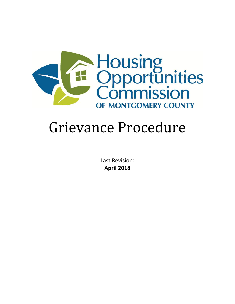

# Grievance Procedure

Last Revision: **April 2018**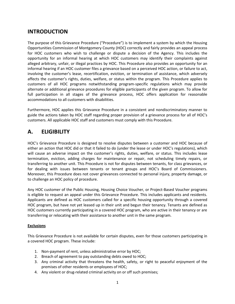### **INTRODUCTION**

The purpose of this Grievance Procedure ("Procedure") is to implement a system by which the Housing Opportunities Commission of Montgomery County (HOC) correctly and fairly provides an appeal process for HOC customers who wish to challenge or dispute a decision of the Agency. This includes the opportunity for an informal hearing at which HOC customers may identify their complaints against alleged arbitrary, unfair, or illegal practices by HOC. This Procedure also provides an opportunity for an informal hearing if an HOC customer files a grievance based on a perceived HOC action, or failure to act, involving the customer's lease, recertification, eviction, or termination of assistance, which adversely affects the customer's rights, duties, welfare, or status within the program. This Procedure applies to customers of all HOC programs notwithstanding program-specific regulations which may provide alternate or additional grievance procedures for eligible participants of the given program. To allow for full participation in all stages of the grievance process, HOC offers application for reasonable accommodations to all customers with disabilities.

Furthermore, HOC applies this Grievance Procedure in a consistent and nondiscriminatory manner to guide the actions taken by HOC staff regarding proper provision of a grievance process for all of HOC's customers. All applicable HOC staff and customers must comply with this Procedure.

### **A. ELIGIBILITY**

HOC's Grievance Procedure is designed to resolve disputes between a customer and HOC because of either an action that HOC did or that it failed to do (under the lease or under HOC's regulations), which will cause an adverse impact on the customer's rights, duties, welfare, or status. This includes lease termination, eviction, adding charges for maintenance or repair, not scheduling timely repairs, or transferring to another unit. This Procedure is not for disputes between tenants, for class grievances, or for dealing with issues between tenants or tenant groups and HOC's Board of Commissioners. Moreover, this Procedure does not cover grievances connected to personal injury, property damage, or to challenge an HOC policy of procedure.

Any HOC customer of the Public Housing, Housing Choice Voucher, or Project-Based Voucher programs is eligible to request an appeal under this Grievance Procedure. This includes applicants and residents. Applicants are defined as HOC customers called for a specific housing opportunity through a covered HOC program, but have not yet leased up in their unit and begun their tenancy. Tenants are defined as HOC customers currently participating in a covered HOC program, who are active in their tenancy or are transferring or relocating with their assistance to another unit in the same program.

#### **Exclusions**

This Grievance Procedure is not available for certain disputes, even for those customers participating in a covered HOC program. These include:

- 1. Non-payment of rent, unless administrative error by HOC;
- 2. Breach of agreement to pay outstanding debts owed to HOC;
- 3. Any criminal activity that threatens the health, safety, or right to peaceful enjoyment of the premises of other residents or employees of HOC;
- 4. Any violent or drug-related criminal activity on or off such premises;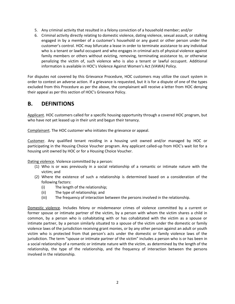- 5. Any criminal activity that resulted in a felony conviction of a household member; and/or
- 6. Criminal activity directly relating to domestic violence, dating violence, sexual assault, or stalking engaged in by a member of a customer's household or any guest or other person under the customer's control. HOC may bifurcate a lease in order to terminate assistance to any individual who is a tenant or lawful occupant and who engages in criminal acts of physical violence against family members or others without evicting, removing, terminating assistance to, or otherwise penalizing the victim of, such violence who is also a tenant or lawful occupant. Additional information is available in HOC's Violence Against Women's Act (VAWA) Policy.

For disputes not covered by this Grievance Procedure, HOC customers may utilize the court system in order to contest an adverse action. If a grievance is requested, but it is for a dispute of one of the types excluded from this Procedure as per the above, the complainant will receive a letter from HOC denying their appeal as per this section of HOC's Grievance Policy.

#### **B. DEFINITIONS**

Applicant. HOC customers called for a specific housing opportunity through a covered HOC program, but who have not yet leased up in their unit and begun their tenancy.

Complainant. The HOC customer who initiates the grievance or appeal.

Customer. Any qualified tenant residing in a housing unit owned and/or managed by HOC or participating in the Housing Choice Voucher program. Any applicant called-up from HOC's wait list for a housing unit owned by HOC or for a Housing Choice Voucher.

Dating violence. Violence committed by a person:

- (1) Who is or was previously in a social relationship of a romantic or intimate nature with the victim; and
- (2) Where the existence of such a relationship is determined based on a consideration of the following factors:
	- (i) The length of the relationship;
	- (ii) The type of relationship; and
	- (iii) The frequency of interaction between the persons involved in the relationship.

Domestic violence. Includes felony or misdemeanor crimes of violence committed by a current or former spouse or intimate partner of the victim, by a person with whom the victim shares a child in common, by a person who is cohabitating with or has cohabitated with the victim as a spouse or intimate partner, by a person similarly situated to a spouse of the victim under the domestic or family violence laws of the jurisdiction receiving grant monies, or by any other person against an adult or youth victim who is protected from that person's acts under the domestic or family violence laws of the jurisdiction. The term "spouse or intimate partner of the victim" includes a person who is or has been in a social relationship of a romantic or intimate nature with the victim, as determined by the length of the relationship, the type of the relationship, and the frequency of interaction between the persons involved in the relationship.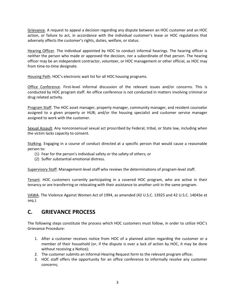Grievance. A request to appeal a decision regarding any dispute between an HOC customer and an HOC action, or failure to act, in accordance with the individual customer's lease or HOC regulations that adversely affects the customer's rights, duties, welfare, or status.

Hearing Officer. The individual appointed by HOC to conduct informal hearings. The hearing officer is neither the person who made or approved the decision, nor a subordinate of that person. The hearing officer may be an independent contractor, volunteer, or HOC management or other official, as HOC may from time-to-time designate.

Housing Path. HOC's electronic wait list for all HOC housing programs.

Office Conference. First-level informal discussion of the relevant issues and/or concerns. This is conducted by HOC program staff. An office conference is not conducted in matters involving criminal or drug related activity.

Program Staff. The HOC asset manager, property manager, community manager, and resident counselor assigned to a given property or HUB; and/or the housing specialist and customer service manager assigned to work with the customer.

Sexual Assault. Any nonconsensual sexual act proscribed by Federal, tribal, or State law, including when the victim lacks capacity to consent.

Stalking. Engaging in a course of conduct directed at a specific person that would cause a reasonable person to:

- (1) Fear for the person's individual safety or the safety of others; or
- (2) Suffer substantial emotional distress.

Supervisory Staff. Management-level staff who reviews the determinations of program-level staff.

Tenant. HOC customers currently participating in a covered HOC program, who are active in their tenancy or are transferring or relocating with their assistance to another unit in the same program.

VAWA. The Violence Against Women Act of 1994, as amended (42 U.S.C. 13925 and 42 U.S.C. 14043e et seq.).

# **C. GRIEVANCE PROCESS**

The following steps constitute the process which HOC customers must follow, in order to utilize HOC's Grievance Procedure:

- 1. After a customer receives notice from HOC of a planned action regarding the customer or a member of their household (or, if the dispute is over a lack of action by HOC, it may be done without receiving a Notice);
- 2. The customer submits an Informal Hearing Request form to the relevant program office;
- 3. HOC staff offers the opportunity for an office conference to informally resolve any customer concerns;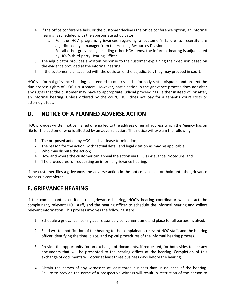- 4. If the office conference fails, or the customer declines the office conference option, an informal hearing is scheduled with the appropriate adjudicator;
	- a. For the HCV program, grievances regarding a customer's failure to recertify are adjudicated by a manager from the Housing Resources Division.
	- b. For all other grievances, including other HCV items, the informal hearing is adjudicated by HOC's third-party Hearing Officer.
- 5. The adjudicator provides a written response to the customer explaining their decision based on the evidence provided at the informal hearing;
- 6. If the customer is unsatisfied with the decision of the adjudicator, they may proceed in court.

HOC's informal grievance hearing is intended to quickly and informally settle disputes and protect the due process rights of HOC's customers. However, participation in the grievance process does not alter any rights that the customer may have to appropriate judicial proceedings– either instead of, or after, an informal hearing. Unless ordered by the court, HOC does not pay for a tenant's court costs or attorney's fees.

# **D. NOTICE OF A PLANNED ADVERSE ACTION**

HOC provides written notice mailed or emailed to the address or email address which the Agency has on file for the customer who is affected by an adverse action. This notice will explain the following:

- 1. The proposed action by HOC (such as lease termination);
- 2. The reason for the action, with factual detail and legal citation as may be applicable;
- 3. Who may dispute the action;
- 4. How and where the customer can appeal the action via HOC's Grievance Procedure; and
- 5. The procedures for requesting an informal grievance hearing.

If the customer files a grievance, the adverse action in the notice is placed on hold until the grievance process is completed.

# **E. GRIEVANCE HEARING**

If the complainant is entitled to a grievance hearing, HOC's hearing coordinator will contact the complainant, relevant HOC staff, and the hearing officer to schedule the informal hearing and collect relevant information. This process involves the following steps:

- 1. Schedule a grievance hearing at a reasonably convenient time and place for all parties involved.
- 2. Send written notification of the hearing to the complainant, relevant HOC staff, and the hearing officer identifying the time, place, and typical procedures of the informal hearing process.
- 3. Provide the opportunity for an exchange of documents, if requested, for both sides to see any documents that will be presented to the hearing officer at the hearing. Completion of this exchange of documents will occur at least three business days before the hearing.
- 4. Obtain the names of any witnesses at least three business days in advance of the hearing. Failure to provide the name of a prospective witness will result in restriction of the person to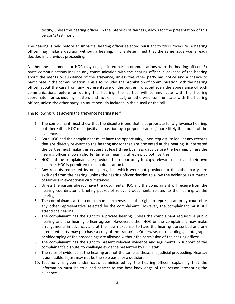testify, unless the hearing officer, in the interests of fairness, allows for the presentation of this person's testimony.

The hearing is held before an impartial hearing officer selected pursuant to this Procedure. A hearing officer may make a decision without a hearing, if it is determined that the same issue was already decided in a previous proceeding.

Neither the customer nor HOC may engage in ex parte communications with the hearing officer. Ex parte communications include any communication with the hearing officer in advance of the hearing about the merits or substance of the grievance, unless the other party has notice and a chance to participate in the communication. This also includes the prohibition of communication with the hearing officer about the case from any representative of the parties. To avoid even the appearance of such communications before or during the hearing, the parties will communicate with the hearing coordinator for scheduling matters and not email, call, or otherwise communicate with the hearing officer, unless the other party is simultaneously included in the e-mail or the call.

The following rules govern the grievance hearing itself:

- 1. The complainant must show that the dispute is one that is appropriate for a grievance hearing, but thereafter, HOC must justify its position by a preponderance ("more likely than not") of the evidence.
- 2. Both HOC and the complainant must have the opportunity, upon request, to look at any records that are directly relevant to the hearing and/or that are presented at the hearing. If interested the parties must make this request at least three business days before the hearing, unless the hearing officer allows a shorter time for meaningful review by both parties.
- 3. HOC and the complainant are provided the opportunity to copy relevant records at their own expense. HOC is permitted to set a duplication fee.
- 4. Any records requested by one party, but which were not provided to the other party, are excluded from the hearing, unless the hearing officer decides to allow the evidence as a matter of fairness in exceptional circumstances.
- 5. Unless the parties already have the documents, HOC and the complainant will receive from the hearing coordinator a briefing packet of relevant documents related to the hearing, at the hearing.
- 6. The complainant, at the complainant's expense, has the right to representation by counsel or any other representative selected by the complainant. However, the complainant must still attend the hearing.
- 7. The complainant has the right to a private hearing, unless the complainant requests a public hearing and the hearing officer agrees. However, either HOC or the complainant may make arrangements in advance, and at their own expense, to have the hearing transcribed and any interested party may purchase a copy of the transcript. Otherwise, no recordings, photographs or videotaping of the proceedings are allowed without the permission of the hearing officer.
- 8. The complainant has the right to present relevant evidence and arguments in support of the complainant's dispute, to challenge evidence presented by HOC staff.
- 9. The rules of evidence at the hearing are not the same as those in a judicial proceeding. Hearsay is admissible; it just may not be the sole basis for a decision.
- 10. Testimony is given under oath, administered by the hearing officer, explaining that the information must be true and correct to the best knowledge of the person presenting the evidence.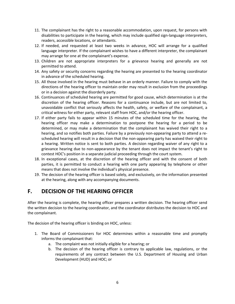- 11. The complainant has the right to a reasonable accommodation, upon request, for persons with disabilities to participate in the hearing, which may include qualified sign-language interpreters, readers, accessible locations, or attendants.
- 12. If needed, and requested at least two weeks in advance, HOC will arrange for a qualified language interpreter. If the complainant wishes to have a different interpreter, the complainant may arrange for one at the complainant's expense.
- 13. Children are not appropriate interpreters for a grievance hearing and generally are not permitted to attend.
- 14. Any safety or security concerns regarding the hearing are presented to the hearing coordinator in advance of the scheduled hearing.
- 15. All those involved in the hearing must behave in an orderly manner. Failure to comply with the directions of the hearing officer to maintain order may result in exclusion from the proceedings or in a decision against the disorderly party.
- 16. Continuances of scheduled hearing are permitted for good cause, which determination is at the discretion of the hearing officer. Reasons for a continuance include, but are not limited to, unavoidable conflict that seriously affects the health, safety, or welfare of the complainant, a critical witness for either party, relevant staff from HOC, and/or the hearing officer.
- 17. If either party fails to appear within 15 minutes of the scheduled time for the hearing, the hearing officer may make a determination to postpone the hearing for a period to be determined, or may make a determination that the complainant has waived their right to a hearing, and so notifies both parties. Failure by a previously non-appearing party to attend a rescheduled hearing will result in a decision that the non-appearing party has waived their right to a hearing. Written notice is sent to both parties. A decision regarding waiver of any right to a grievance hearing due to non-appearance by the tenant does not impact the tenant's right to contest HOC's position in a separate judicial proceeding through the court system.
- 18. In exceptional cases, at the discretion of the hearing officer and with the consent of both parties, it is permitted to conduct a hearing with one party appearing by telephone or other means that does not involve the individual's physical presence.
- 19. The decision of the hearing officer is based solely, and exclusively, on the information presented at the hearing, along with any accompanying documents.

# **F. DECISION OF THE HEARING OFFICER**

After the hearing is complete, the hearing officer prepares a written decision. The hearing officer send the written decision to the hearing coordinator, and the coordinator distributes the decision to HOC and the complainant.

The decision of the hearing officer is binding on HOC, unless:

- 1. The Board of Commissioners for HOC determines within a reasonable time and promptly informs the complainant that:
	- a. The complaint was not initially eligible for a hearing; or
	- b. The decision of the hearing officer is contrary to applicable law, regulations, or the requirements of any contract between the U.S. Department of Housing and Urban Development (HUD) and HOC; or